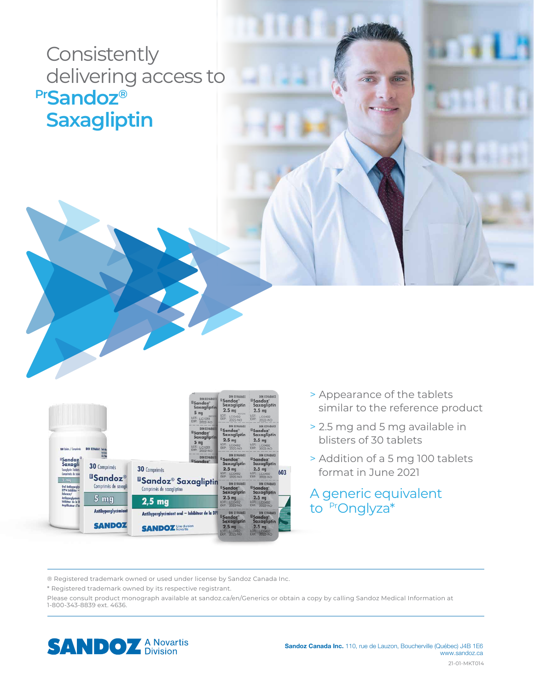## **Consistently**  delivering access to **PrSandoz® Saxagliptin**

|                                                                                                                                         |                                                                          |                                                                                                                                                                                                                              | DIN 02468611<br><sup>E</sup> Sandoz <sup>®</sup><br><b>Saxagliptin</b><br>5 <sub>ma</sub><br>49215217<br>LOT:<br>LC1051<br>EXP: 2022-NO | DIN 02468603<br><b><i><u>IlSandoz<sup>®</sup></u></i></b><br>Saxagliptin<br>2.5 <sub>mg</sub><br>46215210<br>LOT:<br>LC0492<br>EXP: 2022-NO | DIN 02468603<br><sup>8</sup> Sandoz <sup>®</sup><br>Saxagliptin<br>2.5 <sub>mg</sub><br>LOT: LC0492<br>EXP: 2022-NO       |     |
|-----------------------------------------------------------------------------------------------------------------------------------------|--------------------------------------------------------------------------|------------------------------------------------------------------------------------------------------------------------------------------------------------------------------------------------------------------------------|-----------------------------------------------------------------------------------------------------------------------------------------|---------------------------------------------------------------------------------------------------------------------------------------------|---------------------------------------------------------------------------------------------------------------------------|-----|
| 100 Toblets / Comprimes                                                                                                                 | DIN 02468611 Edit                                                        |                                                                                                                                                                                                                              | DIN 02468611<br><sup>li</sup> Sandoz <sup>®</sup><br><b>Saxagliptin</b><br>5 <sub>mg</sub><br>LOT: LC1051<br>EXP: 2022-NO               | DIN 02468603<br><b><i><u>Il Sandoz<sup>®</sup></u></i></b><br>Saxagliptin<br>2.5 <sub>mg</sub><br>LOT: LC0492<br>EXP: 2022-NO               | DIN 02468603<br><b>Sandoz</b><br>Saxagliptin<br>2.5 <sub>mg</sub><br>LOT: LC0492<br>EXP: 2022-NO                          |     |
| "Sandoz"<br>Saxagli<br>Saxopliptin Toblets<br>Comprimes de sem                                                                          | 30 Comprimés<br><b><i>aSandoz</i></b><br>Comprimés de saxaglia<br>$5$ mg | DIN 02468611<br><b>IlSandoz</b> <sup>®</sup><br>30 Comprimés<br><b><i>BSandoz® Saxagliptin</i></b><br>Comprimés de saxagliptine<br>$2,5$ mg<br>Antihyperglycémiant oral - Inhibiteur de la DPI<br><b>SANDOZ</b> Une division |                                                                                                                                         | DIN 02468603<br><b><i><u>ISandoz</u></i></b><br>Saxagliptin<br>2.5 <sub>mg</sub><br>LOT: LC0492<br>EXP: 2022-NO                             | DIN 02468603<br><b>IlSandoz</b><br>Saxagliptin<br>2.5 <sub>mg</sub><br>LOT: LC0492<br>EXP:<br>2022-NO                     | 603 |
| 5 <sub>ma</sub><br>Oral Antihypergly<br>DPP-4 Inhibitor -<br>Enhancer/<br>Antihyperglycémic<br>Inhibiteur de la D<br>Amplificateur d'in |                                                                          |                                                                                                                                                                                                                              |                                                                                                                                         | DIN 02468603<br><b>IlSandoz</b><br><b>Saxagliptin</b><br>2.5 <sub>mg</sub><br>LOT: LC0492<br>EXP:<br>2022-NO                                | DIN 02468603<br><b><i><u>BSandoz</u></i></b><br><b>Saxagliptin</b><br>2.5 <sub>mg</sub><br>LOT: LC0492<br>EXP:<br>2022-NO |     |
|                                                                                                                                         | <b>Antihyperglycemiant</b>                                               |                                                                                                                                                                                                                              |                                                                                                                                         | DIN 02468603<br><b><i><u>IlSandoz</u></i></b><br><b>Saxagliptin</b><br>2.5 <sub>mg</sub><br>LOT: LC0492<br><b>EXP. 2022-NO</b>              | DIN 02468603<br><b>ESandoz</b><br><b>Saxagliptin</b><br>2.5 <sub>mg</sub><br><b>LOT: LC0492</b><br>EXP: 2022-NO           |     |
|                                                                                                                                         | <b>SANDOZ</b>                                                            |                                                                                                                                                                                                                              |                                                                                                                                         |                                                                                                                                             |                                                                                                                           |     |

- > Appearance of the tablets similar to the reference product
- > 2.5 mg and 5 mg available in blisters of 30 tablets
- > Addition of a 5 mg 100 tablets format in June 2021

A generic equivalent to PrOnglyza\*

® Registered trademark owned or used under license by Sandoz Canada Inc.

\* Registered trademark owned by its respective registrant.

Please consult product monograph available at sandoz.ca/en/Generics or obtain a copy by calling Sandoz Medical Information at 1-800-343-8839 ext. 4636.